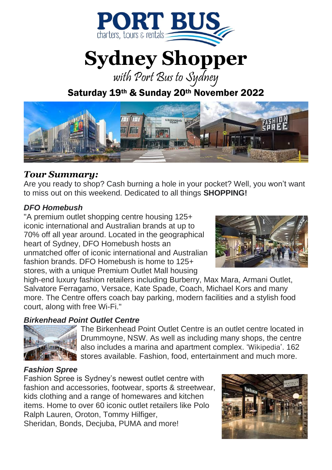

# **Sydney Shopper**

with Port Bus to Sydney

Saturday 19th & Sunday 20th November 2022



### *Tour Summary:*

Are you ready to shop? Cash burning a hole in your pocket? Well, you won't want to miss out on this weekend. Dedicated to all things **SHOPPING!**

#### *DFO Homebush*

"A premium outlet shopping centre housing 125+ iconic international and Australian brands at up to 70% off all year around. Located in the geographical heart of Sydney, DFO Homebush hosts an unmatched offer of iconic international and Australian fashion brands. DFO Homebush is home to 125+ stores, with a unique Premium Outlet Mall housing



high-end luxury fashion retailers including Burberry, Max Mara, Armani Outlet, Salvatore Ferragamo, Versace, Kate Spade, Coach, Michael Kors and many more. The Centre offers coach bay parking, modern facilities and a stylish food court, along with free Wi-Fi."

#### *Birkenhead Point Outlet Centre*



The Birkenhead Point Outlet Centre is an outlet centre located in Drummoyne, NSW. As well as including many shops, the centre also includes a marina and apartment complex. '[Wikipedia](https://en.wikipedia.org/wiki/Birkenhead_Point_Outlet_Centre)'. 162 stores available. Fashion, food, entertainment and much more.

#### *Fashion Spree*

Fashion Spree is Sydney's newest outlet centre with fashion and accessories, footwear, sports & streetwear, kids clothing and a range of homewares and kitchen items. Home to over 60 iconic outlet retailers like Polo Ralph Lauren, Oroton, Tommy Hilfiger, Sheridan, Bonds, Decjuba, PUMA and more!

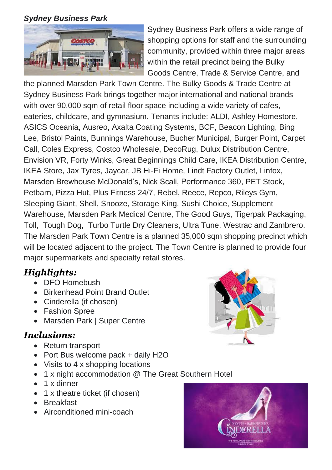#### *Sydney Business Park*



Sydney Business Park offers a wide range of shopping options for staff and the surrounding community, provided within three major areas within the retail precinct being the Bulky Goods Centre, Trade & Service Centre, and

the planned Marsden Park Town Centre. The Bulky Goods & Trade Centre at Sydney Business Park brings together major international and national brands with over 90,000 sqm of retail floor space including a wide variety of cafes, eateries, childcare, and gymnasium. Tenants include: ALDI, Ashley Homestore, ASICS Oceania, Ausreo, Axalta Coating Systems, BCF, Beacon Lighting, Bing Lee, Bristol Paints, Bunnings Warehouse, Bucher Municipal, Burger Point, Carpet Call, Coles Express, Costco Wholesale, DecoRug, Dulux Distribution Centre, Envision VR, Forty Winks, Great Beginnings Child Care, IKEA Distribution Centre, IKEA Store, Jax Tyres, Jaycar, JB Hi-Fi Home, Lindt Factory Outlet, Linfox, Marsden Brewhouse McDonald's, Nick Scali, Performance 360, PET Stock, Petbarn, Pizza Hut, Plus Fitness 24/7, Rebel, Reece, Repco, Rileys Gym, Sleeping Giant, Shell, Snooze, Storage King, Sushi Choice, Supplement Warehouse, Marsden Park Medical Centre, The Good Guys, Tigerpak Packaging, Toll, Tough Dog, Turbo Turtle Dry Cleaners, Ultra Tune, Westrac and Zambrero. The Marsden Park Town Centre is a planned 35,000 sqm shopping precinct which will be located adjacent to the project. The Town Centre is planned to provide four major supermarkets and specialty retail stores.

## *Highlights:*

- DFO Homebush
- Birkenhead Point Brand Outlet
- Cinderella (if chosen)
- Fashion Spree
- Marsden Park | Super Centre

## *Inclusions:*

- Return transport
- Port Bus welcome pack + daily H2O
- Visits to 4 x shopping locations
- 1 x night accommodation @ The Great Southern Hotel
- 1 x dinner
- 1 x theatre ticket (if chosen)
- Breakfast
- Airconditioned mini-coach